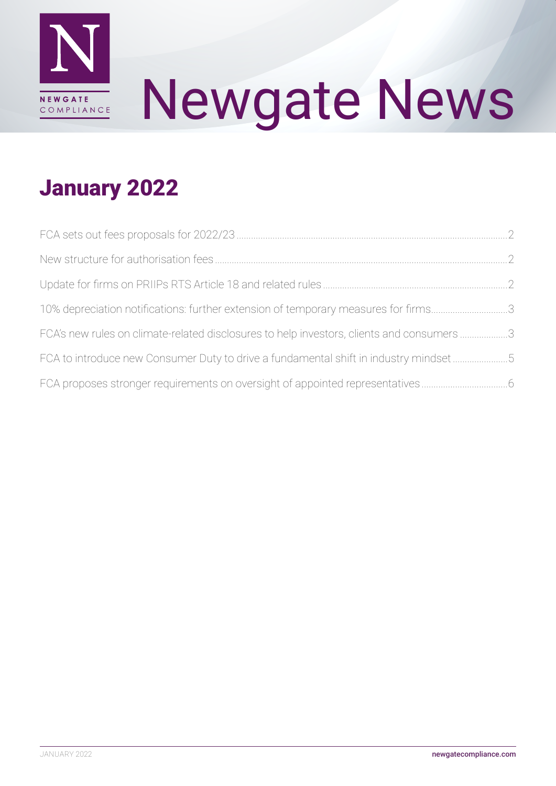

# Newgate News

### January 2022

| 10% depreciation notifications: further extension of temporary measures for firms3        |  |
|-------------------------------------------------------------------------------------------|--|
| FCA's new rules on climate-related disclosures to help investors, clients and consumers 3 |  |
| FCA to introduce new Consumer Duty to drive a fundamental shift in industry mindset5      |  |
| FCA proposes stronger requirements on oversight of appointed representatives              |  |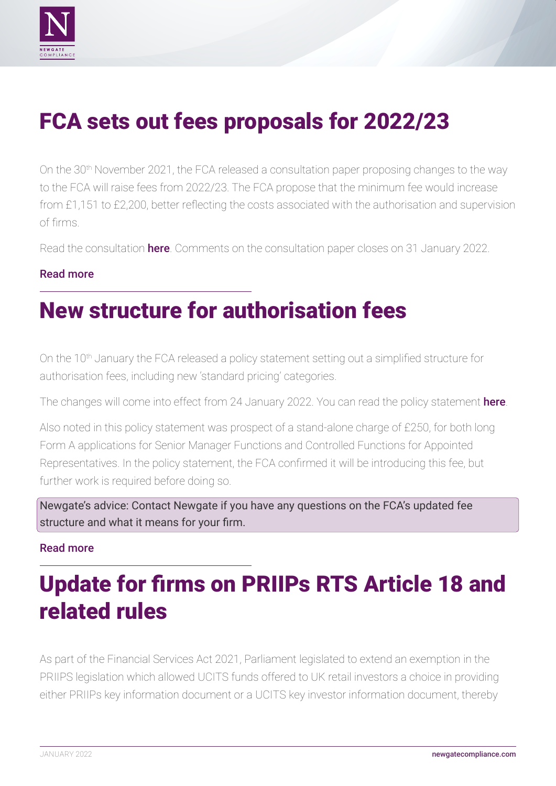<span id="page-1-0"></span>

# FCA sets out fees proposals for 2022/23

On the 30<sup>th</sup> November 2021, the FCA released a consultation paper proposing changes to the way to the FCA will raise fees from 2022/23. The FCA propose that the minimum fee would increase from £1,151 to £2,200, better reflecting the costs associated with the authorisation and supervision of firms.

Read the consultation [here](https://www.fca.org.uk/publications/consultation-papers/cp21-33-fees-levies-proposals-2022-23). Comments on the consultation paper closes on 31 January 2022.

### [Read more](https://www.fca.org.uk/news/news-stories/fees-proposals-2022-23)

### New structure for authorisation fees

On the 10<sup>th</sup> January the FCA released a policy statement setting out a simplified structure for authorisation fees, including new 'standard pricing' categories.

The changes will come into effect from 24 January 2022. You can read the policy statement [here](https://www.fca.org.uk/publications/policy-statements/ps22-1-fca-authorisation-application-fees-new-structure).

Also noted in this policy statement was prospect of a stand-alone charge of £250, for both long Form A applications for Senior Manager Functions and Controlled Functions for Appointed Representatives. In the policy statement, the FCA confirmed it will be introducing this fee, but further work is required before doing so.

Newgate's advice: Contact Newgate if you have any questions on the FCA's updated fee structure and what it means for your firm.

### [Read more](https://www.fca.org.uk/publications/policy-statements/ps22-1-fca-authorisation-application-fees-new-structure)

# Update for firms on PRIIPs RTS Article 18 and related rules

As part of the Financial Services Act 2021, Parliament legislated to extend an exemption in the PRIIPS legislation which allowed UCITS funds offered to UK retail investors a choice in providing either PRIIPs key information document or a UCITS key investor information document, thereby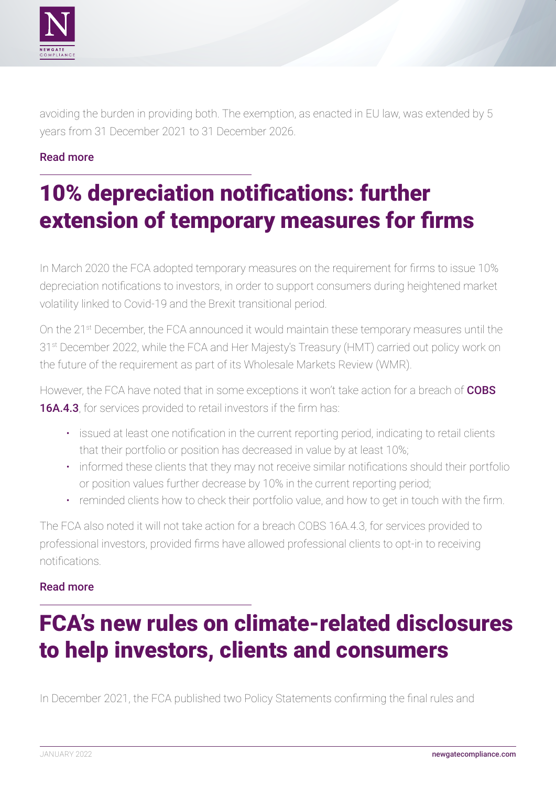<span id="page-2-0"></span>

avoiding the burden in providing both. The exemption, as enacted in EU law, was extended by 5 years from 31 December 2021 to 31 December 2026.

### [Read more](https://www.fca.org.uk/news/statements/update-firms-priips-rts-article-18-related-rules)

# 10% depreciation notifications: further extension of temporary measures for firms

In March 2020 the FCA adopted temporary measures on the requirement for firms to issue 10% depreciation notifications to investors, in order to support consumers during heightened market volatility linked to Covid-19 and the Brexit transitional period.

On the 21st December, the FCA announced it would maintain these temporary measures until the 31<sup>st</sup> December 2022, while the FCA and Her Majesty's Treasury (HMT) carried out policy work on the future of the requirement as part of its Wholesale Markets Review (WMR).

However, the FCA have noted that in some exceptions it won't take action for a breach of **COBS** [16A.4.3](https://www.handbook.fca.org.uk/handbook/COBS/16A/4.html), for services provided to retail investors if the firm has:

- issued at least one notification in the current reporting period, indicating to retail clients that their portfolio or position has decreased in value by at least 10%;
- informed these clients that they may not receive similar notifications should their portfolio or position values further decrease by 10% in the current reporting period;
- reminded clients how to check their portfolio value, and how to get in touch with the firm.

The FCA also noted it will not take action for a breach COBS 16A.4.3, for services provided to professional investors, provided firms have allowed professional clients to opt-in to receiving notifications.

#### [Read more](https://www.fca.org.uk/news/statements/10-per-cent-depreciation-notifications-further-extension-temporary-measures)

### FCA's new rules on climate-related disclosures to help investors, clients and consumers

In December 2021, the FCA published two Policy Statements confirming the final rules and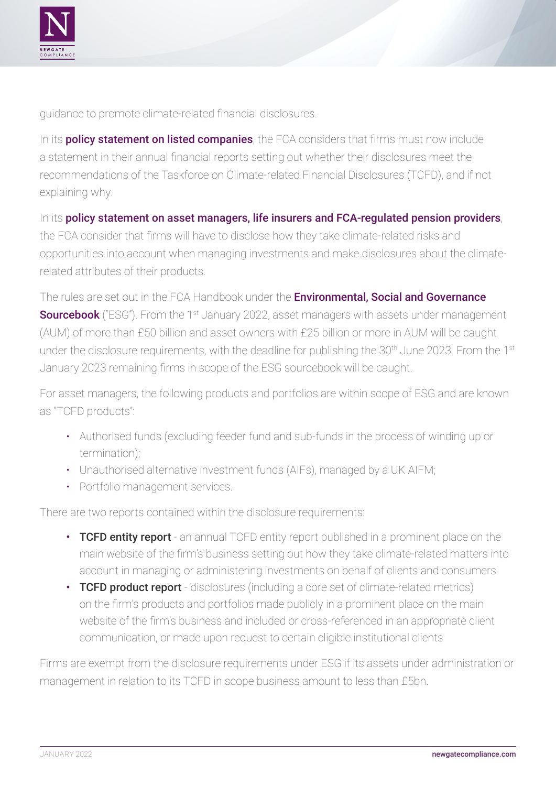

guidance to promote climate-related financial disclosures.

In its **[policy statement on listed companies](https://www.fca.org.uk/publication/policy/ps21-23.pdf)**, the FCA considers that firms must now include a statement in their annual financial reports setting out whether their disclosures meet the recommendations of the Taskforce on Climate-related Financial Disclosures (TCFD), and if not explaining why.

In its [policy statement on asset managers, life insurers and FCA-regulated pension providers](https://www.fca.org.uk/publication/policy/ps21-24.pdf), the FCA consider that firms will have to disclose how they take climate-related risks and opportunities into account when managing investments and make disclosures about the climaterelated attributes of their products.

The rules are set out in the FCA Handbook under the **Environmental, Social and Governance [Sourcebook](https://www.handbook.fca.org.uk/handbook/ESG/)** ("ESG"). From the 1<sup>st</sup> January 2022, asset managers with assets under management (AUM) of more than £50 billion and asset owners with £25 billion or more in AUM will be caught under the disclosure requirements, with the deadline for publishing the 30<sup>th</sup> June 2023. From the 1<sup>st</sup> January 2023 remaining firms in scope of the ESG sourcebook will be caught.

For asset managers, the following products and portfolios are within scope of ESG and are known as "TCFD products":

- Authorised funds (excluding feeder fund and sub-funds in the process of winding up or termination);
- Unauthorised alternative investment funds (AIFs), managed by a UK AIFM;
- Portfolio management services.

There are two reports contained within the disclosure requirements:

- TCFD entity report an annual TCFD entity report published in a prominent place on the main website of the firm's business setting out how they take climate-related matters into account in managing or administering investments on behalf of clients and consumers.
- TCFD product report disclosures (including a core set of climate-related metrics) on the firm's products and portfolios made publicly in a prominent place on the main website of the firm's business and included or cross-referenced in an appropriate client communication, or made upon request to certain eligible institutional clients

Firms are exempt from the disclosure requirements under ESG if its assets under administration or management in relation to its TCFD in scope business amount to less than £5bn.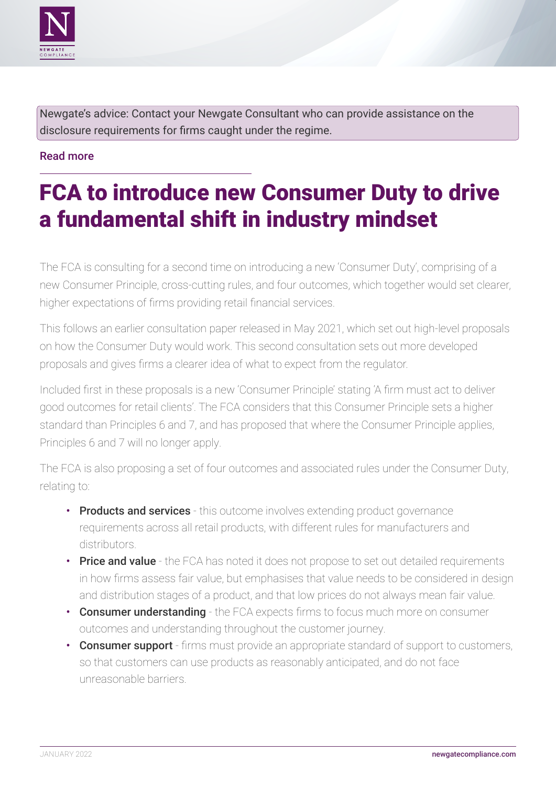<span id="page-4-0"></span>

Newgate's advice: Contact your Newgate Consultant who can provide assistance on the disclosure requirements for firms caught under the regime.

### [Read more](https://www.fca.org.uk/news/news-stories/new-rules-climate-related-disclosures-help-investors-clients-consumers)

# FCA to introduce new Consumer Duty to drive a fundamental shift in industry mindset

The FCA is consulting for a second time on introducing a new 'Consumer Duty', comprising of a new Consumer Principle, cross-cutting rules, and four outcomes, which together would set clearer, higher expectations of firms providing retail financial services.

This follows an earlier consultation paper released in May 2021, which set out high-level proposals on how the Consumer Duty would work. This second consultation sets out more developed proposals and gives firms a clearer idea of what to expect from the regulator.

Included first in these proposals is a new 'Consumer Principle' stating 'A firm must act to deliver good outcomes for retail clients'. The FCA considers that this Consumer Principle sets a higher standard than Principles 6 and 7, and has proposed that where the Consumer Principle applies, Principles 6 and 7 will no longer apply.

The FCA is also proposing a set of four outcomes and associated rules under the Consumer Duty, relating to:

- Products and services this outcome involves extending product governance requirements across all retail products, with different rules for manufacturers and distributors.
- Price and value the FCA has noted it does not propose to set out detailed requirements in how firms assess fair value, but emphasises that value needs to be considered in design and distribution stages of a product, and that low prices do not always mean fair value.
- Consumer understanding the FCA expects firms to focus much more on consumer outcomes and understanding throughout the customer journey.
- Consumer support firms must provide an appropriate standard of support to customers, so that customers can use products as reasonably anticipated, and do not face unreasonable barriers.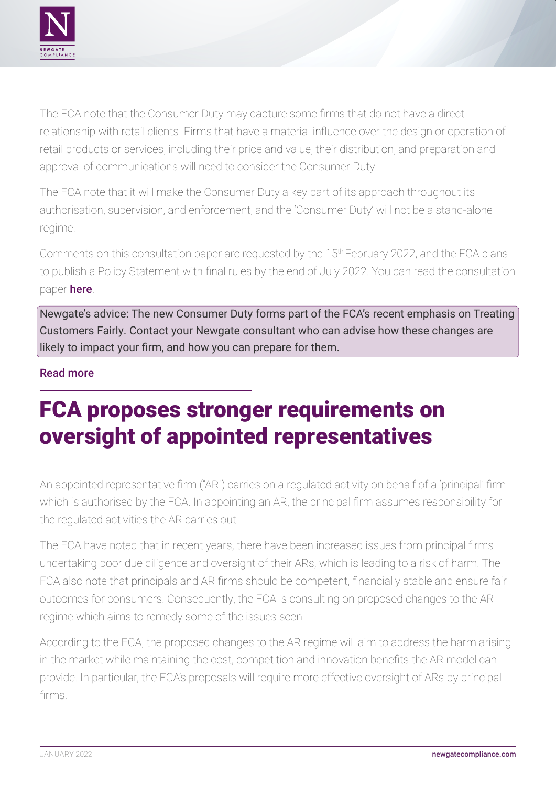<span id="page-5-0"></span>

The FCA note that the Consumer Duty may capture some firms that do not have a direct relationship with retail clients. Firms that have a material influence over the design or operation of retail products or services, including their price and value, their distribution, and preparation and approval of communications will need to consider the Consumer Duty.

The FCA note that it will make the Consumer Duty a key part of its approach throughout its authorisation, supervision, and enforcement, and the 'Consumer Duty' will not be a stand-alone regime.

Comments on this consultation paper are requested by the 15th February 2022, and the FCA plans to publish a Policy Statement with final rules by the end of July 2022. You can read the consultation paper [here](https://www.fca.org.uk/publications/consultation-papers/cp21-36-new-consumer-duty-feedback-cp21-13-further-consultation).

Newgate's advice: The new Consumer Duty forms part of the FCA's recent emphasis on Treating Customers Fairly. Contact your Newgate consultant who can advise how these changes are likely to impact your firm, and how you can prepare for them.

### [Read more](https://www.fca.org.uk/news/press-releases/fca-introduce-new-consumer-duty-drive-fundamental-shift-industry-mindset)

# FCA proposes stronger requirements on oversight of appointed representatives

An appointed representative firm ("AR") carries on a regulated activity on behalf of a 'principal' firm which is authorised by the FCA. In appointing an AR, the principal firm assumes responsibility for the regulated activities the AR carries out.

The FCA have noted that in recent years, there have been increased issues from principal firms undertaking poor due diligence and oversight of their ARs, which is leading to a risk of harm. The FCA also note that principals and AR firms should be competent, financially stable and ensure fair outcomes for consumers. Consequently, the FCA is consulting on proposed changes to the AR regime which aims to remedy some of the issues seen.

According to the FCA, the proposed changes to the AR regime will aim to address the harm arising in the market while maintaining the cost, competition and innovation benefits the AR model can provide. In particular, the FCA's proposals will require more effective oversight of ARs by principal firms.